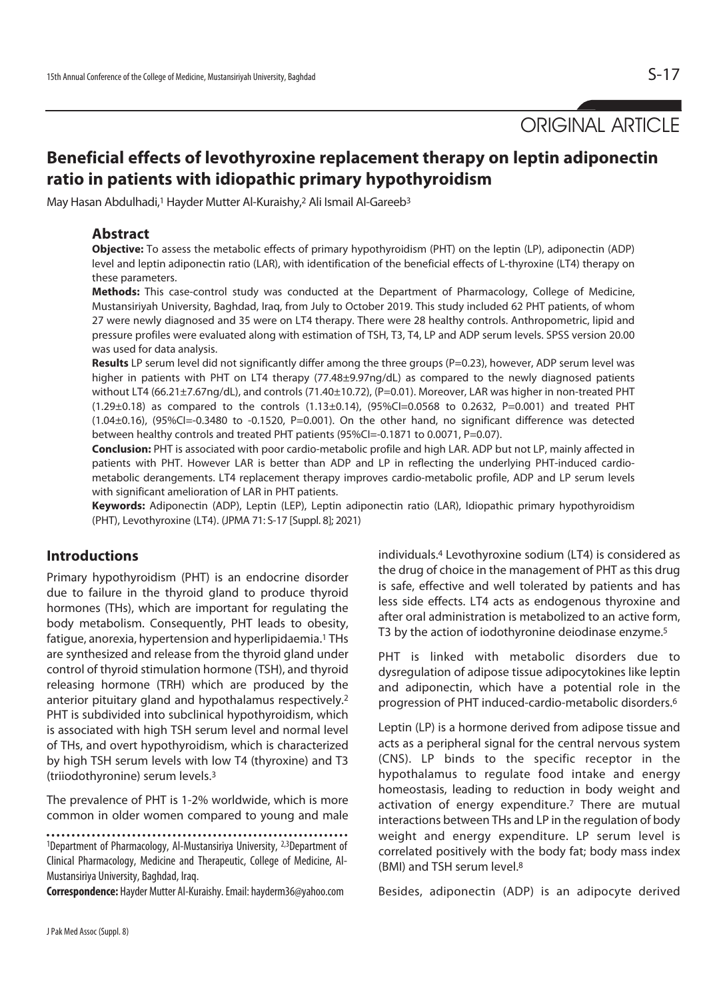ORIGINAL ARTICLE

# **Beneficial effects of levothyroxine replacement therapy on leptin adiponectin ratio in patients with idiopathic primary hypothyroidism**

May Hasan Abdulhadi,<sup>1</sup> Hayder Mutter Al-Kuraishy,<sup>2</sup> Ali Ismail Al-Gareeb<sup>3</sup>

### **Abstract**

**Objective:** To assess the metabolic effects of primary hypothyroidism (PHT) on the leptin (LP), adiponectin (ADP) level and leptin adiponectin ratio (LAR), with identification of the beneficial effects of L-thyroxine (LT4) therapy on these parameters.

**Methods:** This case-control study was conducted at the Department of Pharmacology, College of Medicine, Mustansiriyah University, Baghdad, Iraq, from July to October 2019. This study included 62 PHT patients, of whom 27 were newly diagnosed and 35 were on LT4 therapy. There were 28 healthy controls. Anthropometric, lipid and pressure profiles were evaluated along with estimation of TSH, T3, T4, LP and ADP serum levels. SPSS version 20.00 was used for data analysis.

Results LP serum level did not significantly differ among the three groups (P=0.23), however, ADP serum level was higher in patients with PHT on LT4 therapy (77.48±9.97ng/dL) as compared to the newly diagnosed patients without LT4 (66.21±7.67ng/dL), and controls (71.40±10.72), (P=0.01). Moreover, LAR was higher in non-treated PHT  $(1.29\pm0.18)$  as compared to the controls  $(1.13\pm0.14)$ ,  $(95\%$ Cl=0.0568 to 0.2632, P=0.001) and treated PHT  $(1.04\pm0.16)$ ,  $(95\%$ CI=-0.3480 to -0.1520, P=0.001). On the other hand, no significant difference was detected between healthy controls and treated PHT patients (95%CI=-0.1871 to 0.0071, P=0.07).

**Conclusion:** PHT is associated with poor cardio-metabolic profile and high LAR. ADP but not LP, mainly affected in patients with PHT. However LAR is better than ADP and LP in reflecting the underlying PHT-induced cardiometabolic derangements. LT4 replacement therapy improves cardio-metabolic profile, ADP and LP serum levels with significant amelioration of LAR in PHT patients.

**Keywords:** Adiponectin (ADP), Leptin (LEP), Leptin adiponectin ratio (LAR), Idiopathic primary hypothyroidism (PHT), Levothyroxine (LT4). (JPMA 71: S-17 [Suppl. 8]; 2021)

### **Introductions**

Primary hypothyroidism (PHT) is an endocrine disorder due to failure in the thyroid gland to produce thyroid hormones (THs), which are important for regulating the body metabolism. Consequently, PHT leads to obesity, fatigue, anorexia, hypertension and hyperlipidaemia.<sup>1</sup> THs are synthesized and release from the thyroid gland under control of thyroid stimulation hormone (TSH), and thyroid releasing hormone (TRH) which are produced by the anterior pituitary gland and hypothalamus respectively.2 PHT is subdivided into subclinical hypothyroidism, which is associated with high TSH serum level and normal level of THs, and overt hypothyroidism, which is characterized by high TSH serum levels with low T4 (thyroxine) and T3 (triiodothyronine) serum levels.3

The prevalence of PHT is 1-2% worldwide, which is more common in older women compared to young and male

1Department of Pharmacology, Al-Mustansiriya University, 2,3Department of Clinical Pharmacology, Medicine and Therapeutic, College of Medicine, Al-Mustansiriya University, Baghdad, Iraq.

**Correspondence:** Hayder Mutter Al-Kuraishy. Email: hayderm36@yahoo.com

individuals.4 Levothyroxine sodium (LT4) is considered as the drug of choice in the management of PHT as this drug is safe, effective and well tolerated by patients and has less side effects. LT4 acts as endogenous thyroxine and after oral administration is metabolized to an active form, T3 by the action of iodothyronine deiodinase enzyme.<sup>5</sup>

PHT is linked with metabolic disorders due to dysregulation of adipose tissue adipocytokines like leptin and adiponectin, which have a potential role in the progression of PHT induced-cardio-metabolic disorders.6

Leptin (LP) is a hormone derived from adipose tissue and acts as a peripheral signal for the central nervous system (CNS). LP binds to the specific receptor in the hypothalamus to regulate food intake and energy homeostasis, leading to reduction in body weight and activation of energy expenditure.<sup>7</sup> There are mutual interactions between THs and LP in the regulation of body weight and energy expenditure. LP serum level is correlated positively with the body fat; body mass index (BMI) and TSH serum level.8

Besides, adiponectin (ADP) is an adipocyte derived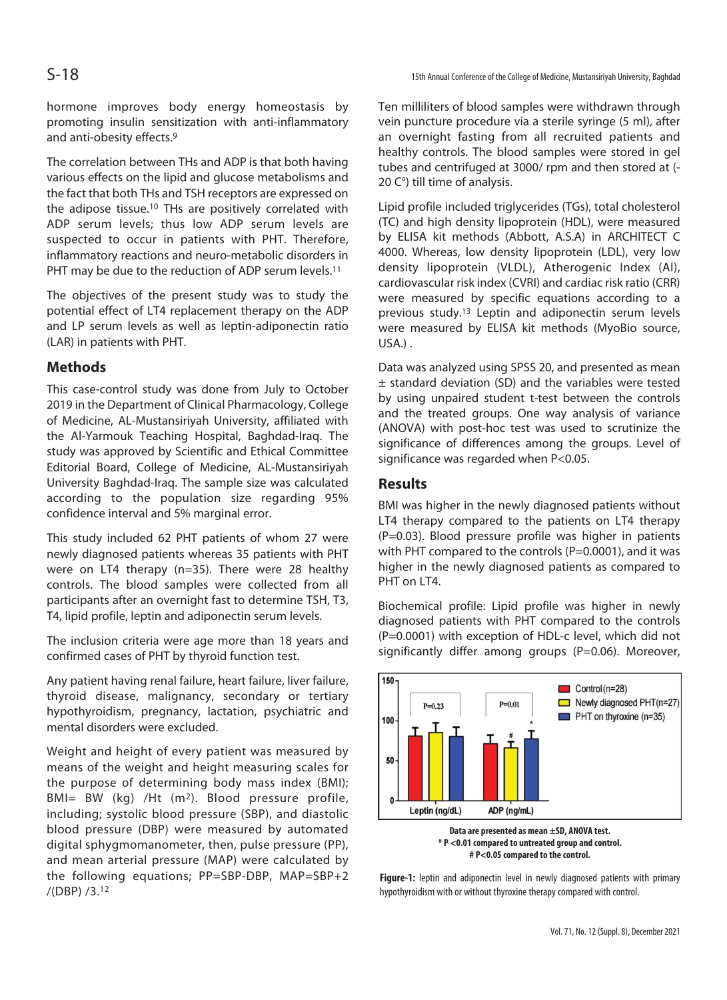hormone improves body energy homeostasis by promoting insulin sensitization with anti-inflammatory and anti-obesity effects.9

The correlation between THs and ADP is that both having various effects on the lipid and glucose metabolisms and the fact that both THs and TSH receptors are expressed on the adipose tissue.<sup>10</sup> THs are positively correlated with ADP serum levels; thus low ADP serum levels are suspected to occur in patients with PHT. Therefore, inflammatory reactions and neuro-metabolic disorders in PHT may be due to the reduction of ADP serum levels.<sup>11</sup>

The objectives of the present study was to study the potential effect of LT4 replacement therapy on the ADP and LP serum levels as well as leptin-adiponectin ratio (LAR) in patients with PHT.

## **Methods**

This case-control study was done from July to October 2019 in the Department of Clinical Pharmacology, College of Medicine, AL-Mustansiriyah University, affiliated with the Al-Yarmouk Teaching Hospital, Baghdad-Iraq. The study was approved by Scientific and Ethical Committee Editorial Board, College of Medicine, AL-Mustansiriyah University Baghdad-Iraq. The sample size was calculated according to the population size regarding 95% confidence interval and 5% marginal error.

This study included 62 PHT patients of whom 27 were newly diagnosed patients whereas 35 patients with PHT were on LT4 therapy (n=35). There were 28 healthy controls. The blood samples were collected from all participants after an overnight fast to determine TSH, T3, T4, lipid profile, leptin and adiponectin serum levels.

The inclusion criteria were age more than 18 years and confirmed cases of PHT by thyroid function test.

Any patient having renal failure, heart failure, liver failure, thyroid disease, malignancy, secondary or tertiary hypothyroidism, pregnancy, lactation, psychiatric and mental disorders were excluded.

Weight and height of every patient was measured by means of the weight and height measuring scales for the purpose of determining body mass index (BMI); BMI= BW (kg) /Ht (m2). Blood pressure profile, including; systolic blood pressure (SBP), and diastolic blood pressure (DBP) were measured by automated digital sphygmomanometer, then, pulse pressure (PP), and mean arterial pressure (MAP) were calculated by the following equations; PP=SBP-DBP, MAP=SBP+2 /(DBP) /3.12

S-18

Ten milliliters of blood samples were withdrawn through vein puncture procedure via a sterile syringe (5 ml), after an overnight fasting from all recruited patients and healthy controls. The blood samples were stored in gel tubes and centrifuged at 3000/ rpm and then stored at (- 20 C°) till time of analysis.

Lipid profile included triglycerides (TGs), total cholesterol (TC) and high density lipoprotein (HDL), were measured by ELISA kit methods (Abbott, A.S.A) in ARCHITECT C 4000. Whereas, low density lipoprotein (LDL), very low density lipoprotein (VLDL), Atherogenic Index (AI), cardiovascular risk index (CVRI) and cardiac risk ratio (CRR) were measured by specific equations according to a previous study.13 Leptin and adiponectin serum levels were measured by ELISA kit methods (MyoBio source, USA.) .

Data was analyzed using SPSS 20, and presented as mean ± standard deviation (SD) and the variables were tested by using unpaired student t-test between the controls and the treated groups. One way analysis of variance (ANOVA) with post-hoc test was used to scrutinize the significance of differences among the groups. Level of significance was regarded when P<0.05.

### **Results**

BMI was higher in the newly diagnosed patients without LT4 therapy compared to the patients on LT4 therapy (P=0.03). Blood pressure profile was higher in patients with PHT compared to the controls ( $P=0.0001$ ), and it was higher in the newly diagnosed patients as compared to PHT on LT4.

Biochemical profile: Lipid profile was higher in newly diagnosed patients with PHT compared to the controls (P=0.0001) with exception of HDL-c level, which did not significantly differ among groups (P=0.06). Moreover,



**Figure-1:** leptin and adiponectin level in newly diagnosed patients with primary hypothyroidism with or without thyroxine therapy compared with control.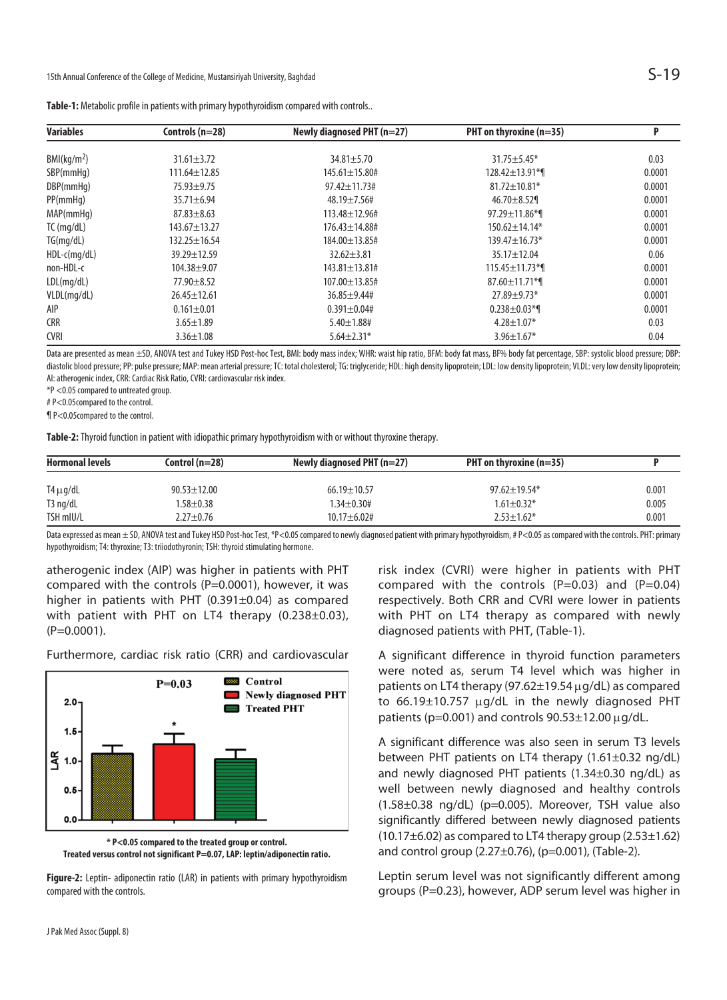| Variables               | Controls $(n=28)$  | Newly diagnosed PHT $(n=27)$ | PHT on thyroxine $(n=35)$      | P      |  |
|-------------------------|--------------------|------------------------------|--------------------------------|--------|--|
| BMI(kg/m <sup>2</sup> ) | $31.61 \pm 3.72$   | $34.81 \pm 5.70$             | $31.75 \pm 5.45*$              | 0.03   |  |
|                         |                    |                              |                                |        |  |
| SBP(mmHq)               | $111.64 \pm 12.85$ | $145.61 \pm 15.80$ #         | $128.42 \pm 13.91$ *1          | 0.0001 |  |
| DBP(mmHq)               | $75.93 \pm 9.75$   | $97.42 \pm 11.73$ #          | $81.72 \pm 10.81*$             | 0.0001 |  |
| PP(mmHg)                | $35.71 \pm 6.94$   | $48.19 \pm 7.56 \#$          | $46.70 \pm 8.52$               | 0.0001 |  |
| MAP(mmHq)               | $87.83 \pm 8.63$   | 113.48±12.96#                | 97.29±11.86*¶                  | 0.0001 |  |
| TC (mg/dL)              | $143.67 \pm 13.27$ | $176.43 \pm 14.88$ #         | $150.62 \pm 14.14*$            | 0.0001 |  |
| TG(mg/dL)               | $132.25 \pm 16.54$ | 184.00 ± 13.85#              | $139.47 \pm 16.73*$            | 0.0001 |  |
| HDL-c(mg/dL)            | 39.29±12.59        | $32.62 \pm 3.81$             | $35.17 \pm 12.04$              | 0.06   |  |
| non-HDL-c               | $104.38 + 9.07$    | 143.81±13.81#                | $115.45 \pm 11.73$ *1          | 0.0001 |  |
| LDL(mg/dL)              | $77.90 \pm 8.52$   | 107.00±13.85#                | $87.60 \pm 11.71$ <sup>*</sup> | 0.0001 |  |
| VLDL(mg/dL)             | $26.45 \pm 12.61$  | $36.85 \pm 9.44 \#$          | $27.89 \pm 9.73*$              | 0.0001 |  |
| AIP                     | $0.161 \pm 0.01$   | $0.391 \pm 0.04$ #           | $0.238 \pm 0.03$ *1            | 0.0001 |  |
| CRR                     | $3.65 \pm 1.89$    | $5.40 \pm 1.88$ #            | $4.28 \pm 1.07*$               | 0.03   |  |
| CVRI                    | $3.36 \pm 1.08$    | $5.64 \pm 2.31*$             | $3.96 \pm 1.67$ *              | 0.04   |  |
|                         |                    |                              |                                |        |  |

**Table-1:** Metabolic profile in patients with primary hypothyroidism compared with controls..

Data are presented as mean ±SD, ANOVA test and Tukey HSD Post-hoc Test, BMI: body mass index; WHR: waist hip ratio, BFM: body fat mass, BF% body fat percentage, SBP: systolic blood pressure; DBP: diastolic blood pressure; PP: pulse pressure; MAP: mean arterial pressure; TC: total cholesterol; TG: triglyceride; HDL: high density lipoprotein; LDL: low density lipoprotein; VLDL: very low density lipoprotein; AI: atherogenic index, CRR: Cardiac Risk Ratio, CVRI: cardiovascular risk index.

\*P <0.05 compared to untreated group.

# P<0.05compared to the control.

¶ P<0.05compared to the control.

**Table-2:** Thyroid function in patient with idiopathic primary hypothyroidism with or without thyroxine therapy.

| <b>Hormonal levels</b> | Control $(n=28)$ | Newly diagnosed PHT $(n=27)$ | PHT on thyroxine $(n=35)$ |       |
|------------------------|------------------|------------------------------|---------------------------|-------|
| $T4 \mu g/dL$          | $90.53 + 12.00$  | $66.19 \pm 10.57$            | $97.62 \pm 19.54*$        | 0.001 |
| T3 ng/dL               | $.58 + 0.38$     | $1.34 + 0.30 +$              | $1.61 \pm 0.32*$          | 0.005 |
| TSH mIU/L              | $2.27 \pm 0.76$  | $10.17 + 6.02$ #             | $2.53 \pm 1.62^*$         | 0.001 |

Data expressed as mean ± SD, ANOVA test and Tukey HSD Post-hoc Test, \*P<0.05 compared to newly diagnosed patient with primary hypothyroidism, # P<0.05 as compared with the controls. PHT: primary hypothyroidism; T4: thyroxine; T3: triiodothyronin; TSH: thyroid stimulating hormone.

atherogenic index (AIP) was higher in patients with PHT compared with the controls (P=0.0001), however, it was higher in patients with PHT (0.391±0.04) as compared with patient with PHT on LT4 therapy (0.238±0.03),  $(P=0.0001)$ .

Furthermore, cardiac risk ratio (CRR) and cardiovascular



**\* P<0.05 compared to the treated group or control. Treated versus control not significant P=0.07, LAP: leptin/adiponectin ratio.** 

**Figure-2:** Leptin- adiponectin ratio (LAR) in patients with primary hypothyroidism compared with the controls.

risk index (CVRI) were higher in patients with PHT compared with the controls  $(P=0.03)$  and  $(P=0.04)$ respectively. Both CRR and CVRI were lower in patients with PHT on LT4 therapy as compared with newly diagnosed patients with PHT, (Table-1).

A significant difference in thyroid function parameters were noted as, serum T4 level which was higher in patients on LT4 therapy (97.62 $\pm$ 19.54  $\mu$ g/dL) as compared to  $66.19\pm10.757$   $\mu$ g/dL in the newly diagnosed PHT patients (p=0.001) and controls  $90.53 \pm 12.00 \,\mu$ g/dL.

A significant difference was also seen in serum T3 levels between PHT patients on LT4 therapy (1.61±0.32 ng/dL) and newly diagnosed PHT patients (1.34±0.30 ng/dL) as well between newly diagnosed and healthy controls (1.58±0.38 ng/dL) (p=0.005). Moreover, TSH value also significantly differed between newly diagnosed patients  $(10.17\pm6.02)$  as compared to LT4 therapy group  $(2.53\pm1.62)$ and control group (2.27±0.76), (p=0.001), (Table-2).

Leptin serum level was not significantly different among groups (P=0.23), however, ADP serum level was higher in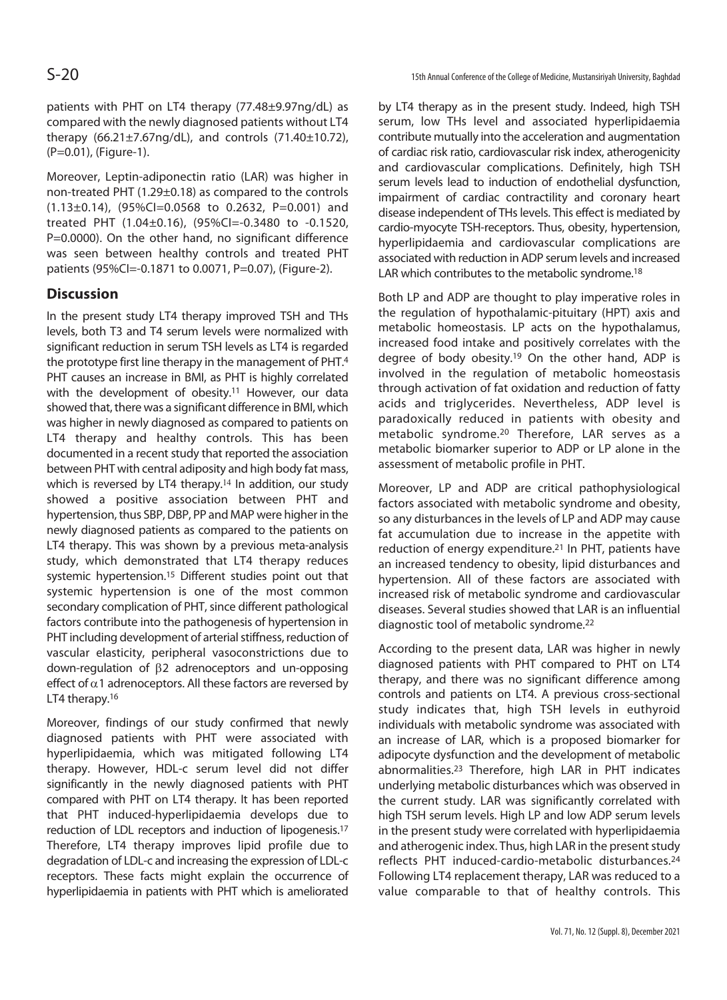Moreover, Leptin-adiponectin ratio (LAR) was higher in non-treated PHT (1.29±0.18) as compared to the controls (1.13±0.14), (95%CI=0.0568 to 0.2632, P=0.001) and treated PHT (1.04±0.16), (95%CI=-0.3480 to -0.1520, P=0.0000). On the other hand, no significant difference was seen between healthy controls and treated PHT patients (95%CI=-0.1871 to 0.0071, P=0.07), (Figure-2).

## **Discussion**

In the present study LT4 therapy improved TSH and THs levels, both T3 and T4 serum levels were normalized with significant reduction in serum TSH levels as LT4 is regarded the prototype first line therapy in the management of PHT.4 PHT causes an increase in BMI, as PHT is highly correlated with the development of obesity.<sup>11</sup> However, our data showed that, there was a significant difference in BMI, which was higher in newly diagnosed as compared to patients on LT4 therapy and healthy controls. This has been documented in a recent study that reported the association between PHT with central adiposity and high body fat mass, which is reversed by LT4 therapy.<sup>14</sup> In addition, our study showed a positive association between PHT and hypertension, thus SBP, DBP, PP and MAP were higher in the newly diagnosed patients as compared to the patients on LT4 therapy. This was shown by a previous meta-analysis study, which demonstrated that LT4 therapy reduces systemic hypertension.<sup>15</sup> Different studies point out that systemic hypertension is one of the most common secondary complication of PHT, since different pathological factors contribute into the pathogenesis of hypertension in PHT including development of arterial stiffness, reduction of vascular elasticity, peripheral vasoconstrictions due to down-regulation of  $\beta$ 2 adrenoceptors and un-opposing effect of  $\alpha$ 1 adrenoceptors. All these factors are reversed by LT4 therapy.<sup>16</sup>

Moreover, findings of our study confirmed that newly diagnosed patients with PHT were associated with hyperlipidaemia, which was mitigated following LT4 therapy. However, HDL-c serum level did not differ significantly in the newly diagnosed patients with PHT compared with PHT on LT4 therapy. It has been reported that PHT induced-hyperlipidaemia develops due to reduction of LDL receptors and induction of lipogenesis.17 Therefore, LT4 therapy improves lipid profile due to degradation of LDL-c and increasing the expression of LDL-c receptors. These facts might explain the occurrence of hyperlipidaemia in patients with PHT which is ameliorated

by LT4 therapy as in the present study. Indeed, high TSH serum, low THs level and associated hyperlipidaemia contribute mutually into the acceleration and augmentation of cardiac risk ratio, cardiovascular risk index, atherogenicity and cardiovascular complications. Definitely, high TSH serum levels lead to induction of endothelial dysfunction, impairment of cardiac contractility and coronary heart disease independent of THs levels. This effect is mediated by cardio-myocyte TSH-receptors. Thus, obesity, hypertension, hyperlipidaemia and cardiovascular complications are associated with reduction in ADP serum levels and increased LAR which contributes to the metabolic syndrome.<sup>18</sup>

Both LP and ADP are thought to play imperative roles in the regulation of hypothalamic-pituitary (HPT) axis and metabolic homeostasis. LP acts on the hypothalamus, increased food intake and positively correlates with the degree of body obesity.19 On the other hand, ADP is involved in the regulation of metabolic homeostasis through activation of fat oxidation and reduction of fatty acids and triglycerides. Nevertheless, ADP level is paradoxically reduced in patients with obesity and metabolic syndrome.20 Therefore, LAR serves as a metabolic biomarker superior to ADP or LP alone in the assessment of metabolic profile in PHT.

Moreover, LP and ADP are critical pathophysiological factors associated with metabolic syndrome and obesity, so any disturbances in the levels of LP and ADP may cause fat accumulation due to increase in the appetite with reduction of energy expenditure.21 In PHT, patients have an increased tendency to obesity, lipid disturbances and hypertension. All of these factors are associated with increased risk of metabolic syndrome and cardiovascular diseases. Several studies showed that LAR is an influential diagnostic tool of metabolic syndrome.22

According to the present data, LAR was higher in newly diagnosed patients with PHT compared to PHT on LT4 therapy, and there was no significant difference among controls and patients on LT4. A previous cross-sectional study indicates that, high TSH levels in euthyroid individuals with metabolic syndrome was associated with an increase of LAR, which is a proposed biomarker for adipocyte dysfunction and the development of metabolic abnormalities.23 Therefore, high LAR in PHT indicates underlying metabolic disturbances which was observed in the current study. LAR was significantly correlated with high TSH serum levels. High LP and low ADP serum levels in the present study were correlated with hyperlipidaemia and atherogenic index. Thus, high LAR in the present study reflects PHT induced-cardio-metabolic disturbances.24 Following LT4 replacement therapy, LAR was reduced to a value comparable to that of healthy controls. This